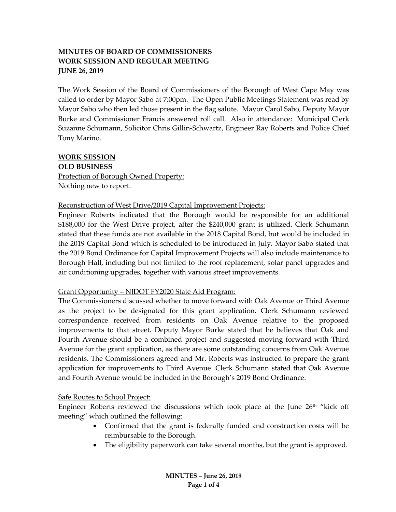# **MINUTES OF BOARD OF COMMISSIONERS WORK SESSION AND REGULAR MEETING JUNE 26, 2019**

The Work Session of the Board of Commissioners of the Borough of West Cape May was called to order by Mayor Sabo at 7:00pm. The Open Public Meetings Statement was read by Mayor Sabo who then led those present in the flag salute. Mayor Carol Sabo, Deputy Mayor Burke and Commissioner Francis answered roll call. Also in attendance: Municipal Clerk Suzanne Schumann, Solicitor Chris Gillin-Schwartz, Engineer Ray Roberts and Police Chief Tony Marino.

### **WORK SESSION**

**OLD BUSINESS Protection of Borough Owned Property:** Nothing new to report.

### Reconstruction of West Drive/2019 Capital Improvement Projects:

Engineer Roberts indicated that the Borough would be responsible for an additional \$188,000 for the West Drive project, after the \$240,000 grant is utilized. Clerk Schumann stated that these funds are not available in the 2018 Capital Bond, but would be included in the 2019 Capital Bond which is scheduled to be introduced in July. Mayor Sabo stated that the 2019 Bond Ordinance for Capital Improvement Projects will also include maintenance to Borough Hall, including but not limited to the roof replacement, solar panel upgrades and air conditioning upgrades, together with various street improvements.

## Grant Opportunity – NJDOT FY2020 State Aid Program:

The Commissioners discussed whether to move forward with Oak Avenue or Third Avenue as the project to be designated for this grant application. Clerk Schumann reviewed correspondence received from residents on Oak Avenue relative to the proposed improvements to that street. Deputy Mayor Burke stated that he believes that Oak and Fourth Avenue should be a combined project and suggested moving forward with Third Avenue for the grant application, as there are some outstanding concerns from Oak Avenue residents. The Commissioners agreed and Mr. Roberts was instructed to prepare the grant application for improvements to Third Avenue. Clerk Schumann stated that Oak Avenue and Fourth Avenue would be included in the Borough's 2019 Bond Ordinance.

### Safe Routes to School Project:

Engineer Roberts reviewed the discussions which took place at the June  $26<sup>th</sup>$  "kick off meeting" which outlined the following:

- Confirmed that the grant is federally funded and construction costs will be reimbursable to the Borough.
- The eligibility paperwork can take several months, but the grant is approved.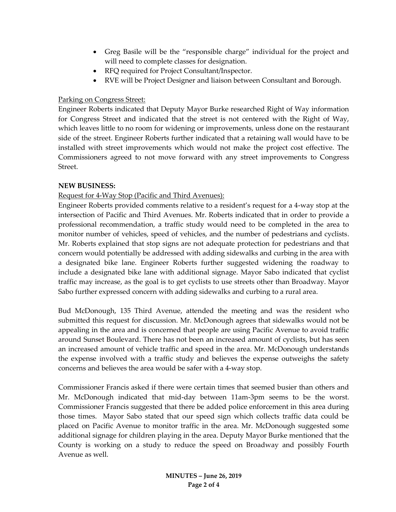- Greg Basile will be the "responsible charge" individual for the project and will need to complete classes for designation.
- RFQ required for Project Consultant/Inspector.
- RVE will be Project Designer and liaison between Consultant and Borough.

## Parking on Congress Street:

Engineer Roberts indicated that Deputy Mayor Burke researched Right of Way information for Congress Street and indicated that the street is not centered with the Right of Way, which leaves little to no room for widening or improvements, unless done on the restaurant side of the street. Engineer Roberts further indicated that a retaining wall would have to be installed with street improvements which would not make the project cost effective. The Commissioners agreed to not move forward with any street improvements to Congress Street.

## **NEW BUSINESS:**

# Request for 4-Way Stop (Pacific and Third Avenues):

Engineer Roberts provided comments relative to a resident's request for a 4-way stop at the intersection of Pacific and Third Avenues. Mr. Roberts indicated that in order to provide a professional recommendation, a traffic study would need to be completed in the area to monitor number of vehicles, speed of vehicles, and the number of pedestrians and cyclists. Mr. Roberts explained that stop signs are not adequate protection for pedestrians and that concern would potentially be addressed with adding sidewalks and curbing in the area with a designated bike lane. Engineer Roberts further suggested widening the roadway to include a designated bike lane with additional signage. Mayor Sabo indicated that cyclist traffic may increase, as the goal is to get cyclists to use streets other than Broadway. Mayor Sabo further expressed concern with adding sidewalks and curbing to a rural area.

Bud McDonough, 135 Third Avenue, attended the meeting and was the resident who submitted this request for discussion. Mr. McDonough agrees that sidewalks would not be appealing in the area and is concerned that people are using Pacific Avenue to avoid traffic around Sunset Boulevard. There has not been an increased amount of cyclists, but has seen an increased amount of vehicle traffic and speed in the area. Mr. McDonough understands the expense involved with a traffic study and believes the expense outweighs the safety concerns and believes the area would be safer with a 4-way stop.

Commissioner Francis asked if there were certain times that seemed busier than others and Mr. McDonough indicated that mid-day between 11am-3pm seems to be the worst. Commissioner Francis suggested that there be added police enforcement in this area during those times. Mayor Sabo stated that our speed sign which collects traffic data could be placed on Pacific Avenue to monitor traffic in the area. Mr. McDonough suggested some additional signage for children playing in the area. Deputy Mayor Burke mentioned that the County is working on a study to reduce the speed on Broadway and possibly Fourth Avenue as well.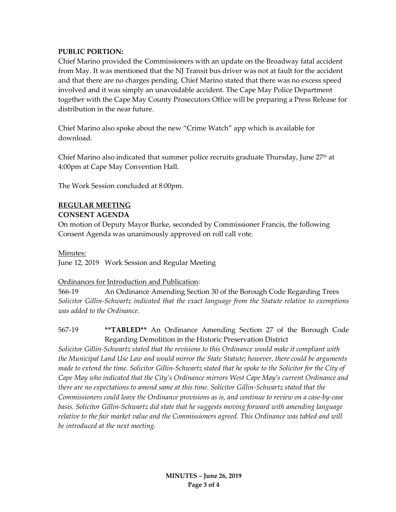### **PUBLIC PORTION:**

Chief Marino provided the Commissioners with an update on the Broadway fatal accident from May. It was mentioned that the NJ Transit bus driver was not at fault for the accident and that there are no charges pending. Chief Marino stated that there was no excess speed involved and it was simply an unavoidable accident. The Cape May Police Department together with the Cape May County Prosecutors Office will be preparing a Press Release for distribution in the near future.

Chief Marino also spoke about the new "Crime Watch" app which is available for download.

Chief Marino also indicated that summer police recruits graduate Thursday, June  $27<sup>th</sup>$  at 4:00pm at Cape May Convention Hall.

The Work Session concluded at 8:00pm.

## **REGULAR MEETING**

### **CONSENT AGENDA**

On motion of Deputy Mayor Burke, seconded by Commissioner Francis, the following Consent Agenda was unanimously approved on roll call vote.

### Minutes:

June 12, 2019 Work Session and Regular Meeting

## Ordinances for Introduction and Publication:

566-19 An Ordinance Amending Section 30 of the Borough Code Regarding Trees *Solicitor Gillin-Schwartz indicated that the exact language from the Statute relative to exemptions was added to the Ordinance.*

## 567-19 **\*\*TABLED\*\*** An Ordinance Amending Section 27 of the Borough Code Regarding Demolition in the Historic Preservation District

*Solicitor Gillin-Schwartz stated that the revisions to this Ordinance would make it compliant with the Municipal Land Use Law and would mirror the State Statute; however, there could be arguments made to extend the time. Solicitor Gillin-Schwartz stated that he spoke to the Solicitor for the City of Cape May who indicated that the City's Ordinance mirrors West Cape May's current Ordinance and there are no expectations to amend same at this time. Solicitor Gillin-Schwartz stated that the Commissioners could leave the Ordinance provisions as is, and continue to review on a case-by-case basis. Solicitor Gillin-Schwartz did state that he suggests moving forward with amending language*  relative to the fair market value and the Commissioners agreed. This Ordinance was tabled and will *be introduced at the next meeting.*